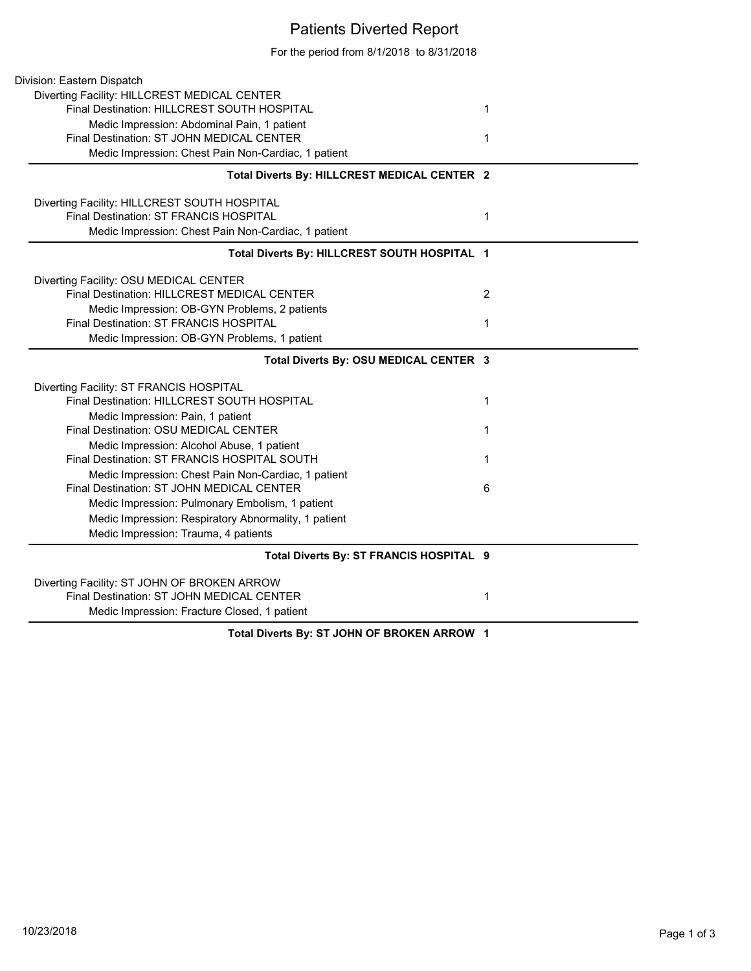## Patients Diverted Report

For the period from 8/1/2018 to 8/31/2018

| Division: Eastern Dispatch                           |                |
|------------------------------------------------------|----------------|
| Diverting Facility: HILLCREST MEDICAL CENTER         |                |
| Final Destination: HILLCREST SOUTH HOSPITAL          | 1              |
| Medic Impression: Abdominal Pain, 1 patient          |                |
| Final Destination: ST JOHN MEDICAL CENTER            | 1              |
| Medic Impression: Chest Pain Non-Cardiac, 1 patient  |                |
| Total Diverts By: HILLCREST MEDICAL CENTER 2         |                |
| Diverting Facility: HILLCREST SOUTH HOSPITAL         |                |
| Final Destination: ST FRANCIS HOSPITAL               | 1              |
| Medic Impression: Chest Pain Non-Cardiac, 1 patient  |                |
| Total Diverts By: HILLCREST SOUTH HOSPITAL 1         |                |
| Diverting Facility: OSU MEDICAL CENTER               |                |
| Final Destination: HILLCREST MEDICAL CENTER          | $\overline{2}$ |
| Medic Impression: OB-GYN Problems, 2 patients        |                |
| Final Destination: ST FRANCIS HOSPITAL               | 1              |
| Medic Impression: OB-GYN Problems, 1 patient         |                |
| Total Diverts By: OSU MEDICAL CENTER 3               |                |
| Diverting Facility: ST FRANCIS HOSPITAL              |                |
| Final Destination: HILLCREST SOUTH HOSPITAL          | 1              |
| Medic Impression: Pain, 1 patient                    |                |
| Final Destination: OSU MEDICAL CENTER                | 1              |
| Medic Impression: Alcohol Abuse, 1 patient           |                |
| Final Destination: ST FRANCIS HOSPITAL SOUTH         | 1              |
| Medic Impression: Chest Pain Non-Cardiac, 1 patient  |                |
| Final Destination: ST JOHN MEDICAL CENTER            | 6              |
| Medic Impression: Pulmonary Embolism, 1 patient      |                |
| Medic Impression: Respiratory Abnormality, 1 patient |                |
| Medic Impression: Trauma, 4 patients                 |                |
| Total Diverts By: ST FRANCIS HOSPITAL 9              |                |
| Diverting Facility: ST JOHN OF BROKEN ARROW          |                |
| Final Destination: ST JOHN MEDICAL CENTER            | 1              |
| Medic Impression: Fracture Closed, 1 patient         |                |
| B. AT JOUN OF BROKEN ABBOUL 4                        |                |

**Total Diverts By: ST JOHN OF BROKEN ARROW 1**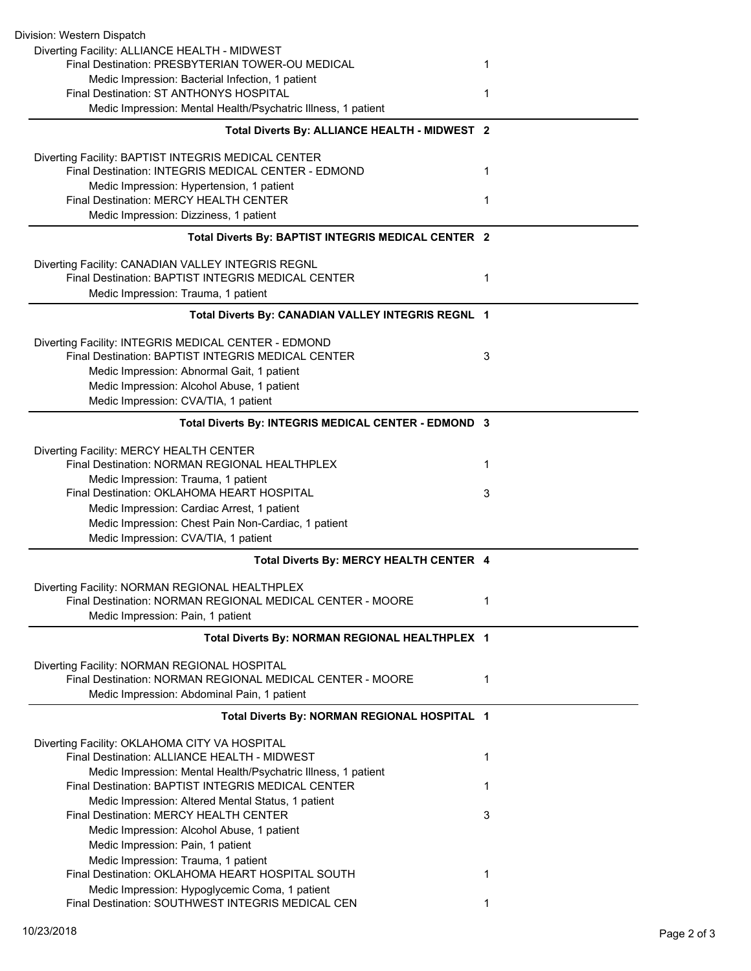| Division: Western Dispatch                                                                                          |   |
|---------------------------------------------------------------------------------------------------------------------|---|
| Diverting Facility: ALLIANCE HEALTH - MIDWEST                                                                       |   |
| Final Destination: PRESBYTERIAN TOWER-OU MEDICAL                                                                    | 1 |
| Medic Impression: Bacterial Infection, 1 patient                                                                    |   |
| Final Destination: ST ANTHONYS HOSPITAL                                                                             | 1 |
| Medic Impression: Mental Health/Psychatric Illness, 1 patient                                                       |   |
| Total Diverts By: ALLIANCE HEALTH - MIDWEST 2                                                                       |   |
| Diverting Facility: BAPTIST INTEGRIS MEDICAL CENTER                                                                 |   |
| Final Destination: INTEGRIS MEDICAL CENTER - EDMOND                                                                 | 1 |
| Medic Impression: Hypertension, 1 patient                                                                           |   |
| <b>Final Destination: MERCY HEALTH CENTER</b>                                                                       | 1 |
| Medic Impression: Dizziness, 1 patient                                                                              |   |
| Total Diverts By: BAPTIST INTEGRIS MEDICAL CENTER 2                                                                 |   |
| Diverting Facility: CANADIAN VALLEY INTEGRIS REGNL                                                                  |   |
| Final Destination: BAPTIST INTEGRIS MEDICAL CENTER                                                                  | 1 |
| Medic Impression: Trauma, 1 patient                                                                                 |   |
|                                                                                                                     |   |
| Total Diverts By: CANADIAN VALLEY INTEGRIS REGNL 1                                                                  |   |
| Diverting Facility: INTEGRIS MEDICAL CENTER - EDMOND                                                                |   |
| Final Destination: BAPTIST INTEGRIS MEDICAL CENTER                                                                  | 3 |
| Medic Impression: Abnormal Gait, 1 patient                                                                          |   |
| Medic Impression: Alcohol Abuse, 1 patient                                                                          |   |
| Medic Impression: CVA/TIA, 1 patient                                                                                |   |
| Total Diverts By: INTEGRIS MEDICAL CENTER - EDMOND 3                                                                |   |
|                                                                                                                     |   |
| Diverting Facility: MERCY HEALTH CENTER<br>Final Destination: NORMAN REGIONAL HEALTHPLEX                            | 1 |
| Medic Impression: Trauma, 1 patient                                                                                 |   |
| Final Destination: OKLAHOMA HEART HOSPITAL                                                                          | 3 |
| Medic Impression: Cardiac Arrest, 1 patient                                                                         |   |
| Medic Impression: Chest Pain Non-Cardiac, 1 patient                                                                 |   |
| Medic Impression: CVA/TIA, 1 patient                                                                                |   |
|                                                                                                                     |   |
| Total Diverts By: MERCY HEALTH CENTER 4                                                                             |   |
| Diverting Facility: NORMAN REGIONAL HEALTHPLEX                                                                      |   |
| Final Destination: NORMAN REGIONAL MEDICAL CENTER - MOORE                                                           | 1 |
| Medic Impression: Pain, 1 patient                                                                                   |   |
| Total Diverts By: NORMAN REGIONAL HEALTHPLEX 1                                                                      |   |
| Diverting Facility: NORMAN REGIONAL HOSPITAL                                                                        |   |
| Final Destination: NORMAN REGIONAL MEDICAL CENTER - MOORE                                                           | 1 |
| Medic Impression: Abdominal Pain, 1 patient                                                                         |   |
| Total Diverts By: NORMAN REGIONAL HOSPITAL 1                                                                        |   |
|                                                                                                                     |   |
| Diverting Facility: OKLAHOMA CITY VA HOSPITAL<br>Final Destination: ALLIANCE HEALTH - MIDWEST                       | 1 |
|                                                                                                                     |   |
| Medic Impression: Mental Health/Psychatric Illness, 1 patient<br>Final Destination: BAPTIST INTEGRIS MEDICAL CENTER | 1 |
| Medic Impression: Altered Mental Status, 1 patient                                                                  |   |
| Final Destination: MERCY HEALTH CENTER                                                                              | 3 |
| Medic Impression: Alcohol Abuse, 1 patient                                                                          |   |
| Medic Impression: Pain, 1 patient                                                                                   |   |
| Medic Impression: Trauma, 1 patient                                                                                 |   |
| Final Destination: OKLAHOMA HEART HOSPITAL SOUTH                                                                    | 1 |
| Medic Impression: Hypoglycemic Coma, 1 patient                                                                      |   |
| Final Destination: SOUTHWEST INTEGRIS MEDICAL CEN                                                                   | 1 |